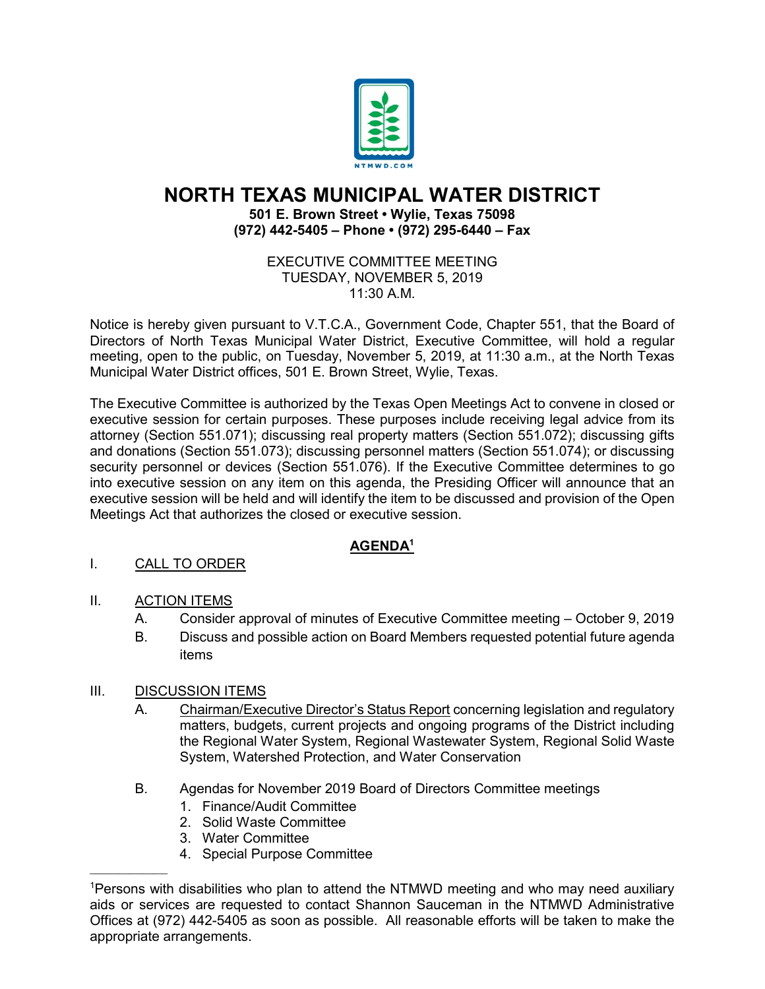

# **NORTH TEXAS MUNICIPAL WATER DISTRICT**

#### **501 E. Brown Street • Wylie, Texas 75098 (972) 442-5405 – Phone • (972) 295-6440 – Fax**

#### EXECUTIVE COMMITTEE MEETING TUESDAY, NOVEMBER 5, 2019 11:30 A.M.

Notice is hereby given pursuant to V.T.C.A., Government Code, Chapter 551, that the Board of Directors of North Texas Municipal Water District, Executive Committee, will hold a regular meeting, open to the public, on Tuesday, November 5, 2019, at 11:30 a.m., at the North Texas Municipal Water District offices, 501 E. Brown Street, Wylie, Texas.

The Executive Committee is authorized by the Texas Open Meetings Act to convene in closed or executive session for certain purposes. These purposes include receiving legal advice from its attorney (Section 551.071); discussing real property matters (Section 551.072); discussing gifts and donations (Section 551.073); discussing personnel matters (Section 551.074); or discussing security personnel or devices (Section 551.076). If the Executive Committee determines to go into executive session on any item on this agenda, the Presiding Officer will announce that an executive session will be held and will identify the item to be discussed and provision of the Open Meetings Act that authorizes the closed or executive session.

## **AGENDA1**

## I. CALL TO ORDER

## II. ACTION ITEMS

- A. Consider approval of minutes of Executive Committee meeting October 9, 2019
- B. Discuss and possible action on Board Members requested potential future agenda items

## III. DISCUSSION ITEMS

 $\overline{\phantom{a}}$  , where  $\overline{\phantom{a}}$ 

- A. Chairman/Executive Director's Status Report concerning legislation and regulatory matters, budgets, current projects and ongoing programs of the District including the Regional Water System, Regional Wastewater System, Regional Solid Waste System, Watershed Protection, and Water Conservation
- B. Agendas for November 2019 Board of Directors Committee meetings
	- 1. Finance/Audit Committee
	- 2. Solid Waste Committee
	- 3. Water Committee
	- 4. Special Purpose Committee

<sup>1</sup> Persons with disabilities who plan to attend the NTMWD meeting and who may need auxiliary aids or services are requested to contact Shannon Sauceman in the NTMWD Administrative Offices at (972) 442-5405 as soon as possible. All reasonable efforts will be taken to make the appropriate arrangements.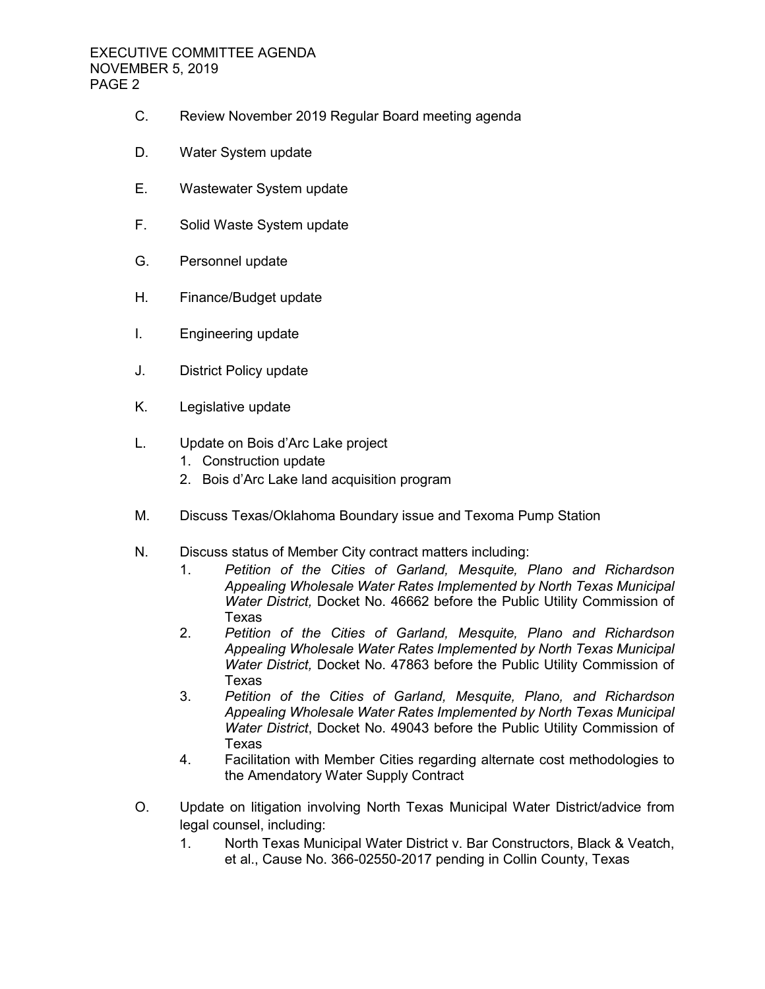- C. Review November 2019 Regular Board meeting agenda
- D. Water System update
- E. Wastewater System update
- F. Solid Waste System update
- G. Personnel update
- H. Finance/Budget update
- I. Engineering update
- J. District Policy update
- K. Legislative update
- L. Update on Bois d'Arc Lake project
	- 1. Construction update
	- 2. Bois d'Arc Lake land acquisition program
- M. Discuss Texas/Oklahoma Boundary issue and Texoma Pump Station
- N. Discuss status of Member City contract matters including:
	- 1. *Petition of the Cities of Garland, Mesquite, Plano and Richardson Appealing Wholesale Water Rates Implemented by North Texas Municipal Water District,* Docket No. 46662 before the Public Utility Commission of Texas
	- 2. *Petition of the Cities of Garland, Mesquite, Plano and Richardson Appealing Wholesale Water Rates Implemented by North Texas Municipal Water District,* Docket No. 47863 before the Public Utility Commission of Texas
	- 3. *Petition of the Cities of Garland, Mesquite, Plano, and Richardson Appealing Wholesale Water Rates Implemented by North Texas Municipal Water District*, Docket No. 49043 before the Public Utility Commission of Texas
	- 4. Facilitation with Member Cities regarding alternate cost methodologies to the Amendatory Water Supply Contract
- O. Update on litigation involving North Texas Municipal Water District/advice from legal counsel, including:
	- 1. North Texas Municipal Water District v. Bar Constructors, Black & Veatch, et al., Cause No. 366-02550-2017 pending in Collin County, Texas